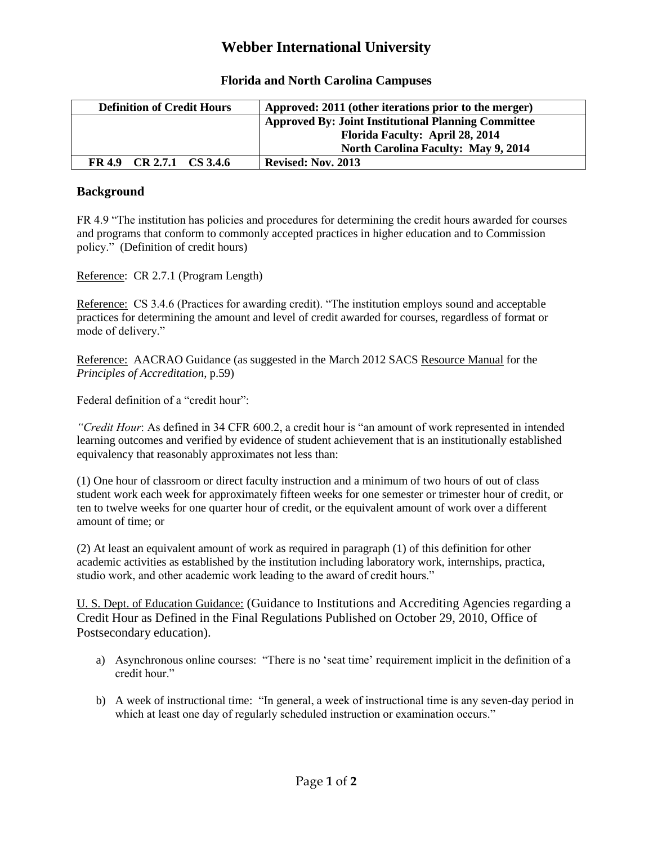## **Webber International University**

| <b>Definition of Credit Hours</b> | Approved: 2011 (other iterations prior to the merger)      |
|-----------------------------------|------------------------------------------------------------|
|                                   | <b>Approved By: Joint Institutional Planning Committee</b> |
|                                   | Florida Faculty: April 28, 2014                            |
|                                   | <b>North Carolina Faculty: May 9, 2014</b>                 |
| FR 4.9 CR 2.7.1 CS 3.4.6          | <b>Revised: Nov. 2013</b>                                  |

## **Florida and North Carolina Campuses**

## **Background**

FR 4.9 "The institution has policies and procedures for determining the credit hours awarded for courses and programs that conform to commonly accepted practices in higher education and to Commission policy." (Definition of credit hours)

Reference: CR 2.7.1 (Program Length)

Reference: CS 3.4.6 (Practices for awarding credit). "The institution employs sound and acceptable practices for determining the amount and level of credit awarded for courses, regardless of format or mode of delivery."

Reference: AACRAO Guidance (as suggested in the March 2012 SACS Resource Manual for the *Principles of Accreditation*, p.59)

Federal definition of a "credit hour":

*"Credit Hour*: As defined in 34 CFR 600.2, a credit hour is "an amount of work represented in intended learning outcomes and verified by evidence of student achievement that is an institutionally established equivalency that reasonably approximates not less than:

(1) One hour of classroom or direct faculty instruction and a minimum of two hours of out of class student work each week for approximately fifteen weeks for one semester or trimester hour of credit, or ten to twelve weeks for one quarter hour of credit, or the equivalent amount of work over a different amount of time; or

(2) At least an equivalent amount of work as required in paragraph (1) of this definition for other academic activities as established by the institution including laboratory work, internships, practica, studio work, and other academic work leading to the award of credit hours."

U. S. Dept. of Education Guidance: (Guidance to Institutions and Accrediting Agencies regarding a Credit Hour as Defined in the Final Regulations Published on October 29, 2010, Office of Postsecondary education).

- a) Asynchronous online courses: "There is no 'seat time' requirement implicit in the definition of a credit hour."
- b) A week of instructional time: "In general, a week of instructional time is any seven-day period in which at least one day of regularly scheduled instruction or examination occurs."